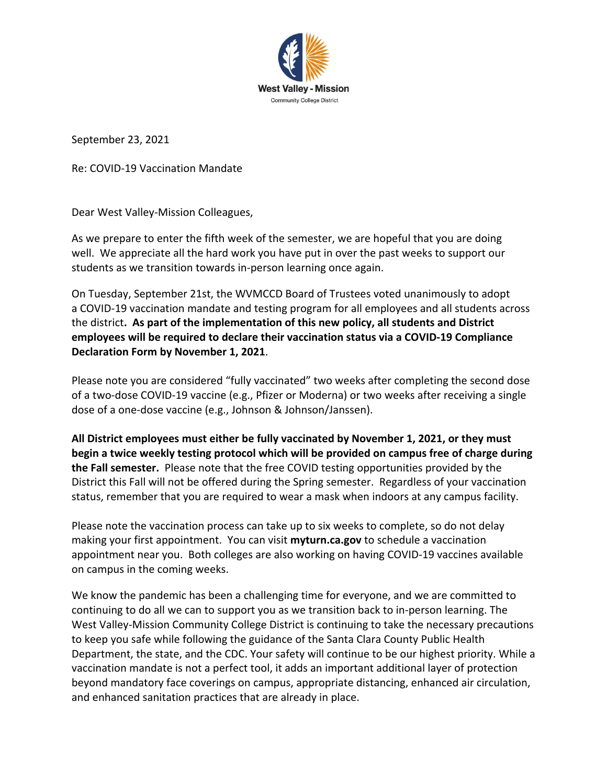

September 23, 2021

Re: COVID-19 Vaccination Mandate

Dear West Valley-Mission Colleagues,

As we prepare to enter the fifth week of the semester, we are hopeful that you are doing well. We appreciate all the hard work you have put in over the past weeks to support our students as we transition towards in-person learning once again.

On Tuesday, September 21st, the WVMCCD Board of Trustees voted unanimously to adopt a COVID-19 vaccination mandate and testing program for all employees and all students across the district**. As part of the implementation of this new policy, all students and District employees will be required to declare their vaccination status via a COVID-19 Compliance Declaration Form by November 1, 2021**.

Please note you are considered "fully vaccinated" two weeks after completing the second dose of a two-dose COVID-19 vaccine (e.g., Pfizer or Moderna) or two weeks after receiving a single dose of a one-dose vaccine (e.g., Johnson & Johnson/Janssen).

**All District employees must either be fully vaccinated by November 1, 2021, or they must begin a twice weekly testing protocol which will be provided on campus free of charge during the Fall semester.** Please note that the free COVID testing opportunities provided by the District this Fall will not be offered during the Spring semester. Regardless of your vaccination status, remember that you are required to wear a mask when indoors at any campus facility.

Please note the vaccination process can take up to six weeks to complete, so do not delay making your first appointment. You can visit **myturn.ca.gov** to schedule a vaccination appointment near you. Both colleges are also working on having COVID-19 vaccines available on campus in the coming weeks.

We know the pandemic has been a challenging time for everyone, and we are committed to continuing to do all we can to support you as we transition back to in-person learning. The West Valley-Mission Community College District is continuing to take the necessary precautions to keep you safe while following the guidance of the Santa Clara County Public Health Department, the state, and the CDC. Your safety will continue to be our highest priority. While a vaccination mandate is not a perfect tool, it adds an important additional layer of protection beyond mandatory face coverings on campus, appropriate distancing, enhanced air circulation, and enhanced sanitation practices that are already in place.